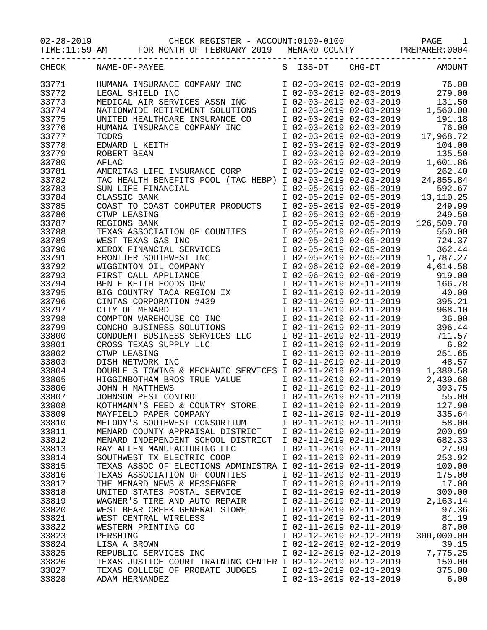02-28-2019 CHECK REGISTER - ACCOUNT:0100-0100 PAGE 1

TIME:11:59 AM FOR MONTH OF FEBRUARY 2019 MENARD COUNTY PREPARER:0004

| CHECK | NAME-OF-PAYEE                                               | S ISS-DT                                            | $CHG-DT$ | AMOUNT                                                                                               |
|-------|-------------------------------------------------------------|-----------------------------------------------------|----------|------------------------------------------------------------------------------------------------------|
| 33771 | HUMANA INSURANCE COMPANY INC                                | I 02-03-2019 02-03-2019                             |          | 76.00                                                                                                |
| 33772 | LEGAL SHIELD INC                                            |                                                     |          |                                                                                                      |
| 33773 | MEDICAL AIR SERVICES ASSN INC                               |                                                     |          |                                                                                                      |
| 33774 | NATIONWIDE RETIREMENT SOLUTIONS                             |                                                     |          | I 02-03-2019 02-03-2019 279.00<br>I 02-03-2019 02-03-2019 131.50<br>I 02-03-2019 02-03-2019 1,560.00 |
| 33775 | UNITED HEALTHCARE INSURANCE CO                              | I 02-03-2019 02-03-2019                             |          | 191.18                                                                                               |
| 33776 | HUMANA INSURANCE COMPANY INC                                | I 02-03-2019 02-03-2019                             |          | 76.00                                                                                                |
| 33777 | TCDRS                                                       | I 02-03-2019 02-03-2019                             |          | 17,968.72                                                                                            |
| 33778 | EDWARD L KEITH                                              | I 02-03-2019 02-03-2019                             |          | 104.00                                                                                               |
| 33779 | ROBERT BEAN                                                 | I 02-03-2019 02-03-2019                             |          | 135.50                                                                                               |
| 33780 | AFLAC                                                       | I 02-03-2019 02-03-2019                             |          | 1,601.86                                                                                             |
| 33781 | AMERITAS LIFE INSURANCE CORP                                | I 02-03-2019 02-03-2019                             |          | 262.40                                                                                               |
|       |                                                             |                                                     |          |                                                                                                      |
| 33782 | TAC HEALTH BENEFITS POOL (TAC HEBP)                         | I 02-03-2019 02-03-2019                             |          | 24,855.84                                                                                            |
| 33783 | SUN LIFE FINANCIAL                                          | I 02-05-2019 02-05-2019                             |          | 592.67                                                                                               |
| 33784 | CLASSIC BANK                                                | $I$ 02-05-2019 02-05-2019                           |          | 13, 110. 25                                                                                          |
| 33785 | COAST TO COAST COMPUTER PRODUCTS                            | I 02-05-2019 02-05-2019                             |          | 249.99                                                                                               |
| 33786 | CTWP LEASING                                                | I 02-05-2019 02-05-2019                             |          | 249.50                                                                                               |
| 33787 | REGIONS BANK                                                | I 02-05-2019 02-05-2019                             |          | 126,509.70                                                                                           |
| 33788 | TEXAS ASSOCIATION OF COUNTIES                               | I 02-05-2019 02-05-2019                             |          | 550.00                                                                                               |
| 33789 | WEST TEXAS GAS INC                                          | I 02-05-2019 02-05-2019                             |          | 724.37                                                                                               |
| 33790 | XEROX FINANCIAL SERVICES                                    | I 02-05-2019 02-05-2019                             |          | 362.44                                                                                               |
| 33791 | $\overline{a}$<br>FRONTIER SOUTHWEST INC                    | I 02-05-2019 02-05-2019                             |          | 1,787.27                                                                                             |
| 33792 | WIGGINTON OIL COMPANY                                       |                                                     |          | I 02-06-2019 02-06-2019 4,614.58                                                                     |
| 33793 | FIRST CALL APPLIANCE                                        | $1\overline{02} -06 - 2019\overline{02} -06 - 2019$ |          | 919.00                                                                                               |
| 33794 | BEN E KEITH FOODS DFW                                       | $1\ 02-11-2019\ 02-11-2019$                         |          | 166.78                                                                                               |
| 33795 |                                                             | I 02-11-2019 02-11-2019                             |          | 40.00                                                                                                |
| 33796 | BIG COUNTRY TACA REGION IX<br>CINTAS CORPORATION #439       | I 02-11-2019 02-11-2019                             |          | 395.21                                                                                               |
| 33797 | CITY OF MENARD                                              | I 02-11-2019 02-11-2019                             |          | 968.10                                                                                               |
| 33798 | COMPTON WAREHOUSE CO INC                                    | I 02-11-2019 02-11-2019                             |          | 36.00                                                                                                |
| 33799 | CONCHO BUSINESS SOLUTIONS                                   | I 02-11-2019 02-11-2019                             |          | 396.44                                                                                               |
| 33800 | CONDUENT BUSINESS SERVICES LLC                              | I 02-11-2019 02-11-2019                             |          | 711.57                                                                                               |
| 33801 | CROSS TEXAS SUPPLY LLC                                      | I 02-11-2019 02-11-2019                             |          | 6.82                                                                                                 |
| 33802 | CTWP LEASING                                                | I 02-11-2019 02-11-2019                             |          | 251.65                                                                                               |
| 33803 | DISH NETWORK INC                                            | I 02-11-2019 02-11-2019                             |          | 48.57                                                                                                |
| 33804 | DOUBLE S TOWING & MECHANIC SERVICES I 02-11-2019 02-11-2019 |                                                     |          | 1,389.58                                                                                             |
| 33805 |                                                             |                                                     |          | 2,439.68                                                                                             |
|       | HIGGINBOTHAM BROS TRUE VALUE                                | I 02-11-2019 02-11-2019<br>I 02-11-2019 02-11-2019  |          | 393.75                                                                                               |
| 33806 | JOHN H MATTHEWS                                             |                                                     |          |                                                                                                      |
| 33807 | JOHNSON PEST CONTROL                                        | I 02-11-2019 02-11-2019                             |          | 55.00                                                                                                |
| 33808 | KOTHMANN'S FEED & COUNTRY STORE                             | I 02-11-2019 02-11-2019                             |          | 127.90                                                                                               |
| 33809 | MAYFIELD PAPER COMPANY                                      | I 02-11-2019 02-11-2019                             |          | 335.64                                                                                               |
| 33810 | MELODY'S SOUTHWEST CONSORTIUM                               | I 02-11-2019 02-11-2019                             |          | 58.00                                                                                                |
| 33811 | MENARD COUNTY APPRAISAL DISTRICT                            | I 02-11-2019 02-11-2019                             |          | 200.69                                                                                               |
| 33812 | MENARD INDEPENDENT SCHOOL DISTRICT                          | I 02-11-2019 02-11-2019                             |          | 682.33                                                                                               |
| 33813 | RAY ALLEN MANUFACTURING LLC                                 | I 02-11-2019 02-11-2019                             |          | 27.99                                                                                                |
| 33814 | SOUTHWEST TX ELECTRIC COOP                                  | I 02-11-2019 02-11-2019                             |          | 253.92                                                                                               |
| 33815 | TEXAS ASSOC OF ELECTIONS ADMINISTRA I 02-11-2019 02-11-2019 |                                                     |          | 100.00                                                                                               |
| 33816 | TEXAS ASSOCIATION OF COUNTIES                               | I 02-11-2019 02-11-2019                             |          | 175.00                                                                                               |
| 33817 | THE MENARD NEWS & MESSENGER                                 | I 02-11-2019 02-11-2019                             |          | 17.00                                                                                                |
| 33818 | UNITED STATES POSTAL SERVICE                                | I 02-11-2019 02-11-2019                             |          | 300.00                                                                                               |
| 33819 | WAGNER'S TIRE AND AUTO REPAIR                               | I 02-11-2019 02-11-2019                             |          | 2,163.14                                                                                             |
| 33820 | WEST BEAR CREEK GENERAL STORE                               | I 02-11-2019 02-11-2019                             |          | 97.36                                                                                                |
| 33821 | WEST CENTRAL WIRELESS                                       | I 02-11-2019 02-11-2019                             |          | 81.19                                                                                                |
| 33822 | WESTERN PRINTING CO                                         | I 02-11-2019 02-11-2019                             |          | 87.00                                                                                                |
| 33823 | PERSHING                                                    | I 02-12-2019 02-12-2019                             |          | 300,000.00                                                                                           |
| 33824 | LISA A BROWN                                                | I 02-12-2019 02-12-2019                             |          | 39.15                                                                                                |
| 33825 | REPUBLIC SERVICES INC                                       | I 02-12-2019 02-12-2019                             |          | 7,775.25                                                                                             |
| 33826 | TEXAS JUSTICE COURT TRAINING CENTER I 02-12-2019 02-12-2019 |                                                     |          | 150.00                                                                                               |
| 33827 | TEXAS COLLEGE OF PROBATE JUDGES                             | I 02-13-2019 02-13-2019                             |          | 375.00                                                                                               |
|       |                                                             |                                                     |          |                                                                                                      |
| 33828 | ADAM HERNANDEZ                                              | I 02-13-2019 02-13-2019                             |          | 6.00                                                                                                 |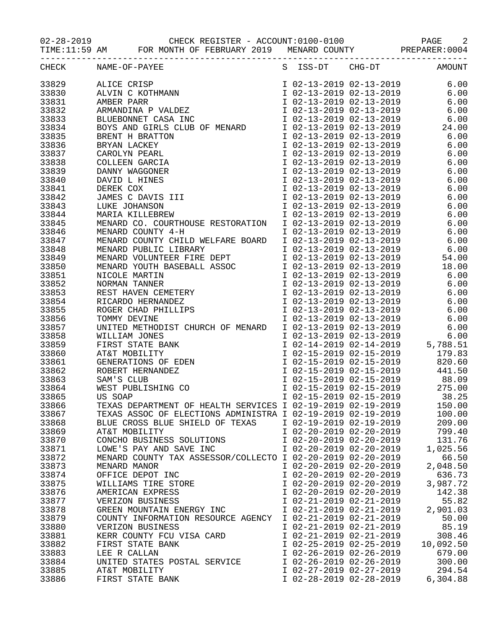02-28-2019 CHECK REGISTER - ACCOUNT:0100-0100 PAGE 2

TIME:11:59 AM FOR MONTH OF FEBRUARY 2019 MENARD COUNTY PREPARER:0004

|                | CHECK NAME-OF-PAYEE                                                                                                                                                                                                                                    |                         |                                                                               | S ISS-DT CHG-DT AMOUNT                                                                                                             |
|----------------|--------------------------------------------------------------------------------------------------------------------------------------------------------------------------------------------------------------------------------------------------------|-------------------------|-------------------------------------------------------------------------------|------------------------------------------------------------------------------------------------------------------------------------|
| 33829          | ALICE CRISP<br>ALVIN C KOTHMANN 1 02-13-2019 02-13-2019 6.00<br>AMBER PARR 102-13-2019 02-13-2019 6.00<br>ARMANDINA P VALDEZ 102-13-2019 02-13-2019 6.00<br>BLUEBONNET CASA INC 102-13-2019 02-13-2019 6.00<br>BUEBONNET CASA INC 102-13               |                         |                                                                               |                                                                                                                                    |
| 33830          |                                                                                                                                                                                                                                                        |                         |                                                                               |                                                                                                                                    |
| 33831          |                                                                                                                                                                                                                                                        |                         |                                                                               |                                                                                                                                    |
| 33832          |                                                                                                                                                                                                                                                        |                         |                                                                               |                                                                                                                                    |
| 33833          |                                                                                                                                                                                                                                                        |                         |                                                                               |                                                                                                                                    |
|                |                                                                                                                                                                                                                                                        |                         |                                                                               |                                                                                                                                    |
| 33834          |                                                                                                                                                                                                                                                        |                         |                                                                               |                                                                                                                                    |
| 33835          |                                                                                                                                                                                                                                                        |                         | I 02-13-2019 02-13-2019<br>I 02-13-2019 02-13-2019<br>I 02-13-2019 02-13-2019 | $-4.00$<br>6.00<br>6                                                                                                               |
| 33836          |                                                                                                                                                                                                                                                        |                         |                                                                               |                                                                                                                                    |
| 33837          |                                                                                                                                                                                                                                                        |                         |                                                                               | 6.00                                                                                                                               |
| 33838          |                                                                                                                                                                                                                                                        |                         | I 02-13-2019 02-13-2019                                                       | 6.00                                                                                                                               |
| 33839          |                                                                                                                                                                                                                                                        |                         | I 02-13-2019 02-13-2019                                                       | 6.00                                                                                                                               |
| 33840          | BOIS AND GIRLS CLUB OF MENARD<br>BRENT H BRATTON<br>BRYAN LACKEY<br>CAROLYN PEARL<br>COLLEEN GARCIA<br>DANNY WAGGONER<br>DAVID L HINES<br>DEREK COX<br>JAMES C DAVIS III<br>LUKE JOHANSON<br>MARIA KILLEBREW<br>MENIA KILLEBREW                        |                         | I 02-13-2019 02-13-2019                                                       | 6.00                                                                                                                               |
| 33841          |                                                                                                                                                                                                                                                        |                         | I 02-13-2019 02-13-2019<br>I 02-13-2019 02-13-2019<br>I 02-13-2019 02-13-2019 | 6.00                                                                                                                               |
| 33842          |                                                                                                                                                                                                                                                        |                         |                                                                               | 6.00                                                                                                                               |
| 33843          |                                                                                                                                                                                                                                                        |                         |                                                                               | 6.00                                                                                                                               |
| 33844          |                                                                                                                                                                                                                                                        |                         | I 02-13-2019 02-13-2019                                                       | 6.00                                                                                                                               |
| 33845          | MENARD CO. COURTHOUSE RESTORATION I 02-13-2019 02-13-2019                                                                                                                                                                                              |                         |                                                                               | 6.00                                                                                                                               |
| 33846          | MENARD COUNTY 4-H                                                                                                                                                                                                                                      |                         |                                                                               | 6.00                                                                                                                               |
| 33847          | MENARD COUNTY CHILD WELFARE BOARD                                                                                                                                                                                                                      |                         |                                                                               | 6.00                                                                                                                               |
| 33848          | MENARD PUBLIC LIBRARY<br>MENARD VOLUNTEER FIRE DEPT                                                                                                                                                                                                    |                         | I 02-13-2019 02-13-2019<br>I 02-13-2019 02-13-2019<br>I 02-13-2019 02-13-2019 | 6.00                                                                                                                               |
| 33849          |                                                                                                                                                                                                                                                        |                         |                                                                               | I 02-13-2019 02-13-2019 54.00                                                                                                      |
| 33850          |                                                                                                                                                                                                                                                        |                         |                                                                               | 18.00                                                                                                                              |
| 33851          |                                                                                                                                                                                                                                                        |                         |                                                                               | 6.00                                                                                                                               |
| 33852          | MENARD VOLUNTEER FIRE DEFT<br>MENARD YOUTH BASEBALL ASSOC<br>NICOLE MARTIN<br>NICOLE MARTIN<br>NORMAN TANNER<br>NORMAN TANNER<br>TOZ-13-2019<br>NORMAN TANNER<br>TOZ-13-2019<br>REST HAVEN CEMETERY<br>TOZ-13-2019<br>RICARDO HERNANDEZ<br>TOZ-13-2019 |                         |                                                                               | 6.00                                                                                                                               |
| 33853          |                                                                                                                                                                                                                                                        |                         |                                                                               | 6.00                                                                                                                               |
| 33854          |                                                                                                                                                                                                                                                        |                         | I 02-13-2019 02-13-2019<br>I 02-13-2019 02-13-2019<br>I 02-13-2019 02-13-2019 | 6.00                                                                                                                               |
| 33855          |                                                                                                                                                                                                                                                        |                         | I 02-13-2019 02-13-2019                                                       | 6.00                                                                                                                               |
| 33856          |                                                                                                                                                                                                                                                        |                         |                                                                               | I 02-13-2019 02-13-2019 6.00                                                                                                       |
| 33857          | UNITED METHODIST CHURCH OF MENARD                                                                                                                                                                                                                      |                         |                                                                               |                                                                                                                                    |
| 33858          |                                                                                                                                                                                                                                                        |                         |                                                                               |                                                                                                                                    |
| 33859          | WILLIAM JONES<br>FIRST STATE BANK<br>AT&T MOBILITY<br>GENERATIONS OF EDEN<br>ROBERT HERNANDEZ<br>SAM'S CLUB<br>WEST PUBLISHING CO<br>US SOAP                                                                                                           |                         |                                                                               | 1 02-13-2019 02-13-2019 6.00<br>1 02-13-2019 02-13-2019 6.00<br>1 02-14-2019 02-14-2019 5,788.51<br>1 02-15-2019 02-15-2019 179.83 |
| 33860          |                                                                                                                                                                                                                                                        |                         |                                                                               |                                                                                                                                    |
| 33861          |                                                                                                                                                                                                                                                        |                         |                                                                               | I 02-15-2019 02-15-2019 820.60                                                                                                     |
| 33862          |                                                                                                                                                                                                                                                        |                         |                                                                               | 441.50                                                                                                                             |
| 33863          |                                                                                                                                                                                                                                                        |                         | $1\ 02-15-2019\ 02-15-2019$                                                   |                                                                                                                                    |
| 33864          |                                                                                                                                                                                                                                                        |                         |                                                                               | 1 02-15-2019 02-15-2019 88.09<br>1 02-15-2019 02-15-2019 275.00<br>1 02-15-2019 02-15-2019 38.25                                   |
|                |                                                                                                                                                                                                                                                        |                         |                                                                               |                                                                                                                                    |
| 33865<br>33866 |                                                                                                                                                                                                                                                        |                         |                                                                               |                                                                                                                                    |
|                | TEXAS DEPARTMENT OF HEALTH SERVICES I 02-19-2019 02-19-2019 150.00                                                                                                                                                                                     |                         |                                                                               |                                                                                                                                    |
| 33867          | TEXAS ASSOC OF ELECTIONS ADMINISTRA I 02-19-2019 02-19-2019                                                                                                                                                                                            |                         |                                                                               | 100.00                                                                                                                             |
| 33868          | BLUE CROSS BLUE SHIELD OF TEXAS                                                                                                                                                                                                                        | I 02-19-2019 02-19-2019 |                                                                               | 209.00                                                                                                                             |
| 33869          | AT&T MOBILITY                                                                                                                                                                                                                                          | I 02-20-2019 02-20-2019 |                                                                               | 799.40                                                                                                                             |
| 33870          | CONCHO BUSINESS SOLUTIONS                                                                                                                                                                                                                              | I 02-20-2019 02-20-2019 |                                                                               | 131.76                                                                                                                             |
| 33871          | LOWE'S PAY AND SAVE INC                                                                                                                                                                                                                                | I 02-20-2019 02-20-2019 |                                                                               | 1,025.56                                                                                                                           |
| 33872          | MENARD COUNTY TAX ASSESSOR/COLLECTO I 02-20-2019 02-20-2019                                                                                                                                                                                            |                         |                                                                               | 66.50                                                                                                                              |
| 33873          | MENARD MANOR                                                                                                                                                                                                                                           | I 02-20-2019 02-20-2019 |                                                                               | 2,048.50                                                                                                                           |
| 33874          | OFFICE DEPOT INC                                                                                                                                                                                                                                       | I 02-20-2019 02-20-2019 |                                                                               | 636.73                                                                                                                             |
| 33875          | WILLIAMS TIRE STORE                                                                                                                                                                                                                                    | I 02-20-2019 02-20-2019 |                                                                               | 3,987.72                                                                                                                           |
| 33876          | AMERICAN EXPRESS                                                                                                                                                                                                                                       | I 02-20-2019 02-20-2019 |                                                                               | 142.38                                                                                                                             |
| 33877          | VERIZON BUSINESS                                                                                                                                                                                                                                       | I 02-21-2019 02-21-2019 |                                                                               | 55.82                                                                                                                              |
| 33878          | GREEN MOUNTAIN ENERGY INC                                                                                                                                                                                                                              | I 02-21-2019 02-21-2019 |                                                                               | 2,901.03                                                                                                                           |
| 33879          | COUNTY INFORMATION RESOURCE AGENCY I 02-21-2019 02-21-2019                                                                                                                                                                                             |                         |                                                                               | 50.00                                                                                                                              |
| 33880          | VERIZON BUSINESS                                                                                                                                                                                                                                       | I 02-21-2019 02-21-2019 |                                                                               | 85.19                                                                                                                              |
| 33881          | KERR COUNTY FCU VISA CARD                                                                                                                                                                                                                              | I 02-21-2019 02-21-2019 |                                                                               | 308.46                                                                                                                             |
| 33882          | FIRST STATE BANK                                                                                                                                                                                                                                       | I 02-25-2019 02-25-2019 |                                                                               | 10,092.50                                                                                                                          |
| 33883          | LEE R CALLAN                                                                                                                                                                                                                                           | I 02-26-2019 02-26-2019 |                                                                               | 679.00                                                                                                                             |
| 33884          | UNITED STATES POSTAL SERVICE                                                                                                                                                                                                                           | I 02-26-2019 02-26-2019 |                                                                               | 300.00                                                                                                                             |
| 33885          | AT&T MOBILITY                                                                                                                                                                                                                                          | I 02-27-2019 02-27-2019 |                                                                               | 294.54                                                                                                                             |
| 33886          | FIRST STATE BANK                                                                                                                                                                                                                                       | I 02-28-2019 02-28-2019 |                                                                               | 6,304.88                                                                                                                           |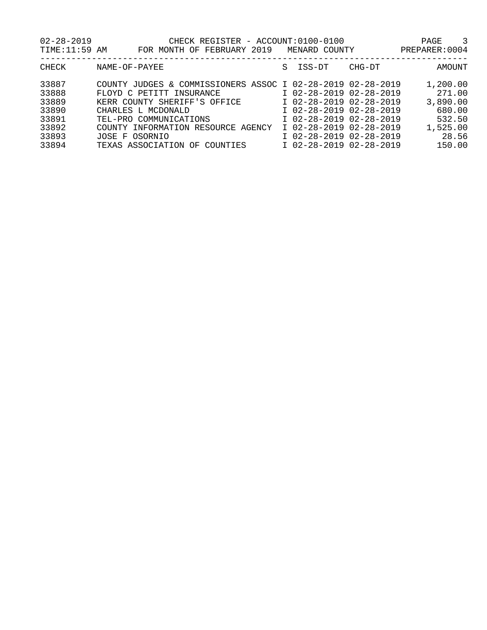| $02 - 28 - 2019$<br>TIME:11:59 AM | CHECK REGISTER - ACCOUNT:0100-0100<br>FOR MONTH OF FEBRUARY 2019 |   | MENARD COUNTY           |        | 3<br>PAGE<br>PREPARER: 0004 |
|-----------------------------------|------------------------------------------------------------------|---|-------------------------|--------|-----------------------------|
| <b>CHECK</b>                      | NAME-OF-PAYEE                                                    | S | ISS-DT                  | CHG-DT | AMOUNT                      |
| 33887                             | COUNTY JUDGES & COMMISSIONERS ASSOC I 02-28-2019 02-28-2019      |   |                         |        | 1,200.00                    |
| 33888                             | FLOYD C PETITT<br>INSURANCE                                      |   | I 02-28-2019 02-28-2019 |        | 271.00                      |
| 33889                             | KERR COUNTY SHERIFF'S OFFICE                                     |   | I 02-28-2019 02-28-2019 |        | 3,890.00                    |
| 33890                             | CHARLES L MCDONALD                                               |   | I 02-28-2019 02-28-2019 |        | 680.00                      |
| 33891                             | TEL-PRO COMMUNICATIONS                                           |   | I 02-28-2019 02-28-2019 |        | 532.50                      |
| 33892                             | INFORMATION RESOURCE<br>AGENCY<br>COUNTY                         |   | I 02-28-2019 02-28-2019 |        | 1,525.00                    |
| 33893                             | OSORNIO<br>JOSE F                                                |   | I 02-28-2019 02-28-2019 |        | 28.56                       |
| 33894                             | TEXAS ASSOCIATION<br>COUNTIES<br>OF                              |   | I 02-28-2019 02-28-2019 |        | 150.00                      |